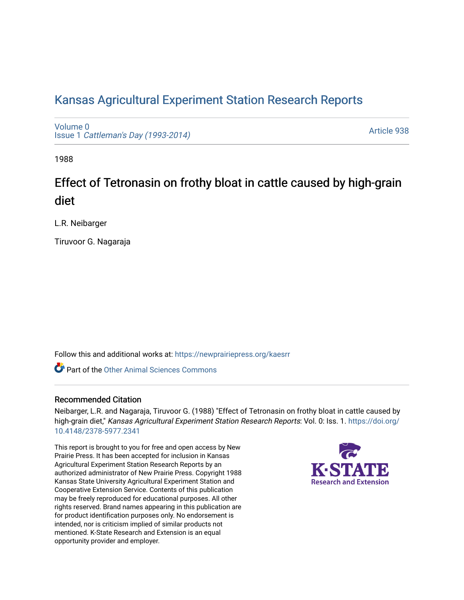# [Kansas Agricultural Experiment Station Research Reports](https://newprairiepress.org/kaesrr)

[Volume 0](https://newprairiepress.org/kaesrr/vol0) Issue 1 [Cattleman's Day \(1993-2014\)](https://newprairiepress.org/kaesrr/vol0/iss1) 

[Article 938](https://newprairiepress.org/kaesrr/vol0/iss1/938) 

1988

# Effect of Tetronasin on frothy bloat in cattle caused by high-grain diet

L.R. Neibarger

Tiruvoor G. Nagaraja

Follow this and additional works at: [https://newprairiepress.org/kaesrr](https://newprairiepress.org/kaesrr?utm_source=newprairiepress.org%2Fkaesrr%2Fvol0%2Fiss1%2F938&utm_medium=PDF&utm_campaign=PDFCoverPages) 

**C** Part of the [Other Animal Sciences Commons](http://network.bepress.com/hgg/discipline/82?utm_source=newprairiepress.org%2Fkaesrr%2Fvol0%2Fiss1%2F938&utm_medium=PDF&utm_campaign=PDFCoverPages)

### Recommended Citation

Neibarger, L.R. and Nagaraja, Tiruvoor G. (1988) "Effect of Tetronasin on frothy bloat in cattle caused by high-grain diet," Kansas Agricultural Experiment Station Research Reports: Vol. 0: Iss. 1. [https://doi.org/](https://doi.org/10.4148/2378-5977.2341) [10.4148/2378-5977.2341](https://doi.org/10.4148/2378-5977.2341)

This report is brought to you for free and open access by New Prairie Press. It has been accepted for inclusion in Kansas Agricultural Experiment Station Research Reports by an authorized administrator of New Prairie Press. Copyright 1988 Kansas State University Agricultural Experiment Station and Cooperative Extension Service. Contents of this publication may be freely reproduced for educational purposes. All other rights reserved. Brand names appearing in this publication are for product identification purposes only. No endorsement is intended, nor is criticism implied of similar products not mentioned. K-State Research and Extension is an equal opportunity provider and employer.

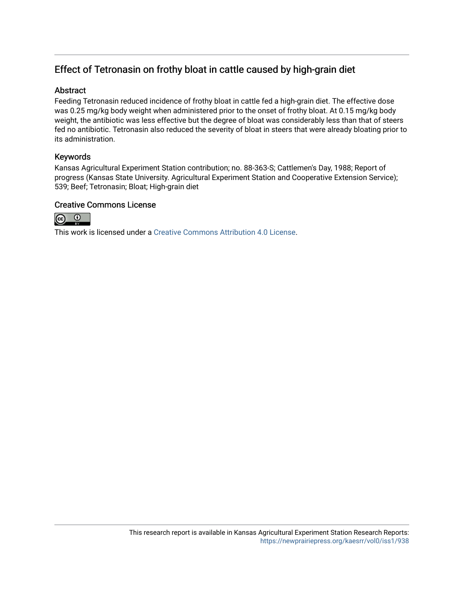## Effect of Tetronasin on frothy bloat in cattle caused by high-grain diet

### **Abstract**

Feeding Tetronasin reduced incidence of frothy bloat in cattle fed a high-grain diet. The effective dose was 0.25 mg/kg body weight when administered prior to the onset of frothy bloat. At 0.15 mg/kg body weight, the antibiotic was less effective but the degree of bloat was considerably less than that of steers fed no antibiotic. Tetronasin also reduced the severity of bloat in steers that were already bloating prior to its administration.

## Keywords

Kansas Agricultural Experiment Station contribution; no. 88-363-S; Cattlemen's Day, 1988; Report of progress (Kansas State University. Agricultural Experiment Station and Cooperative Extension Service); 539; Beef; Tetronasin; Bloat; High-grain diet

### Creative Commons License



This work is licensed under a [Creative Commons Attribution 4.0 License](https://creativecommons.org/licenses/by/4.0/).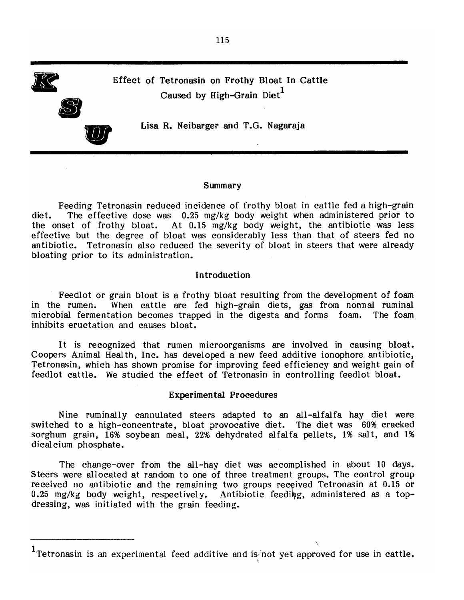

## Effect of Tetronasin on Frothy Bloat In Cattle Caused by High-Grain Diet<sup>1</sup>

Lisa R. Neibarger and T.G. Nagaraja

#### Summary

Feeding Tetronasin reduced incidence of frothy bloat in cattle fed a high-grain The effective dose was 0.25 mg/kg body weight when administered prior to diet. the onset of frothy bloat. At 0.15 mg/kg body weight, the antibiotic was less effective but the degree of bloat was considerably less than that of steers fed no antibiotic. Tetronasin also reduced the severity of bloat in steers that were already bloating prior to its administration.

#### Introduction

Feedlot or grain bloat is a frothy bloat resulting from the development of foam When cattle are fed high-grain diets, gas from normal ruminal in the rumen. microbial fermentation becomes trapped in the digesta and forms foam. The foam inhibits eructation and causes bloat.

It is recognized that rumen microorganisms are involved in causing bloat. Coopers Animal Health, Inc. has developed a new feed additive ionophore antibiotic, Tetronasin, which has shown promise for improving feed efficiency and weight gain of feedlot cattle. We studied the effect of Tetronasin in controlling feedlot bloat.

#### **Experimental Procedures**

Nine ruminally cannulated steers adapted to an all-alfalfa hay diet were switched to a high-concentrate, bloat provocative diet. The diet was 60% cracked sorghum grain, 16% soybean meal, 22% dehydrated alfalfa pellets, 1% salt, and 1% dicalcium phosphate.

The change-over from the all-hay diet was accomplished in about 10 days. Steers were allocated at random to one of three treatment groups. The control group received no antibiotic and the remaining two groups received Tetronasin at 0.15 or 0.25 mg/kg body weight, respectively. Antibiotic feeding, administered as a topdressing, was initiated with the grain feeding.

 $1$ Tetronasin is an experimental feed additive and is not yet approved for use in cattle.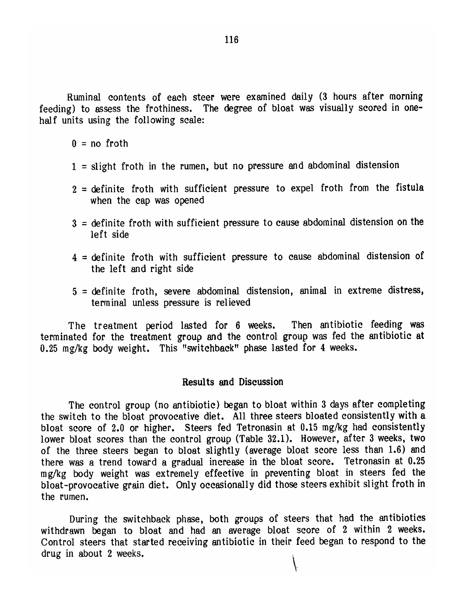Ruminal contents of each steer were examined daily (3 hours after morning feeding) to assess the frothiness. The degree of bloat was visually scored in onehalf units using the following scale:

 $0 = no$  froth

- $1$  = slight froth in the rumen, but no pressure and abdominal distension
- $2$  = definite froth with sufficient pressure to expel froth from the fistula when the cap was opened
- $3$  = definite froth with sufficient pressure to cause abdominal distension on the left side
- $4$  = definite froth with sufficient pressure to cause abdominal distension of the left and right side
- 5 = definite froth, severe abdominal distension, animal in extreme distress, terminal unless pressure is relieved

The treatment period lasted for 6 weeks. Then antibiotic feeding was terminated for the treatment group and the control group was fed the antibiotic at 0.25 mg/kg body weight. This "switchback" phase lasted for 4 weeks.

#### Results and Discussion

The control group (no antibiotic) began to bloat within 3 days after completing the switch to the bloat provocative diet. All three steers bloated consistently with a bloat score of 2.0 or higher. Steers fed Tetronasin at 0.15 mg/kg had consistently lower bloat scores than the control group (Table 32.1). However, after 3 weeks, two of the three steers began to bloat slightly (average bloat score less than 1.6) and there was a trend toward a gradual increase in the bloat score. Tetronasin at 0.25 mg/kg body weight was extremely effective in preventing bloat in steers fed the bloat-provocative grain diet. Only occasionally did those steers exhibit slight froth in the rumen.

During the switchback phase, both groups of steers that had the antibiotics withdrawn began to bloat and had an average bloat score of 2 within 2 weeks. Control steers that started receiving antibiotic in their feed began to respond to the drug in about 2 weeks.